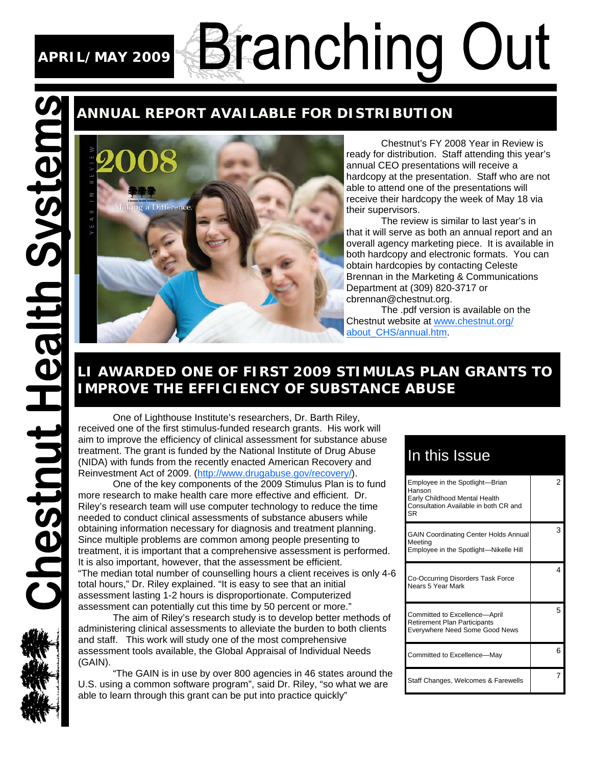# **APRIL/MAY 2009**

Systems

**Chestnut Health** 

# **Branching Out**

## **ANNUAL REPORT AVAILABLE FOR DISTRIBUTION**

 Chestnut's FY 2008 Year in Review is ready for distribution. Staff attending this year's annual CEO presentations will receive a hardcopy at the presentation. Staff who are not able to attend one of the presentations will receive their hardcopy the week of May 18 via their supervisors.

 The review is similar to last year's in that it will serve as both an annual report and an overall agency marketing piece. It is available in both hardcopy and electronic formats. You can obtain hardcopies by contacting Celeste Brennan in the Marketing & Communications Department at (309) 820-3717 or cbrennan@chestnut.org.

 The .pdf version is available on the Chestnut website at www.chestnut.org/ about\_CHS/annual.htm.

## **LI AWARDED ONE OF FIRST 2009 STIMULAS PLAN GRANTS TO IMPROVE THE EFFICIENCY OF SUBSTANCE ABUSE**

 One of Lighthouse Institute's researchers, Dr. Barth Riley, received one of the first stimulus-funded research grants. His work will aim to improve the efficiency of clinical assessment for substance abuse treatment. The grant is funded by the National Institute of Drug Abuse (NIDA) with funds from the recently enacted American Recovery and Reinvestment Act of 2009. (http://www.drugabuse.gov/recovery/).

 One of the key components of the 2009 Stimulus Plan is to fund more research to make health care more effective and efficient. Dr. Riley's research team will use computer technology to reduce the time needed to conduct clinical assessments of substance abusers while obtaining information necessary for diagnosis and treatment planning. Since multiple problems are common among people presenting to treatment, it is important that a comprehensive assessment is performed. It is also important, however, that the assessment be efficient. "The median total number of counselling hours a client receives is only 4-6 total hours," Dr. Riley explained. "It is easy to see that an initial assessment lasting 1-2 hours is disproportionate. Computerized assessment can potentially cut this time by 50 percent or more."

 The aim of Riley's research study is to develop better methods of administering clinical assessments to alleviate the burden to both clients and staff. This work will study one of the most comprehensive assessment tools available, the Global Appraisal of Individual Needs (GAIN).

 "The GAIN is in use by over 800 agencies in 46 states around the U.S. using a common software program", said Dr. Riley, "so what we are able to learn through this grant can be put into practice quickly"

# In this Issue

| Employee in the Spotlight-Brian<br>Hanson<br>Early Childhood Mental Health<br>Consultation Available in both CR and<br>SR | 2  |
|---------------------------------------------------------------------------------------------------------------------------|----|
| <b>GAIN Coordinating Center Holds Annual</b><br>Meetina<br>Employee in the Spotlight-Nikelle Hill                         | з  |
| Co-Occurring Disorders Task Force<br>Nears 5 Year Mark                                                                    | Δ  |
| Committed to Excellence-April<br><b>Retirement Plan Participants</b><br>Everywhere Need Some Good News                    | 5  |
| Committed to Excellence-May                                                                                               | ิค |
| Staff Changes, Welcomes & Farewells                                                                                       |    |



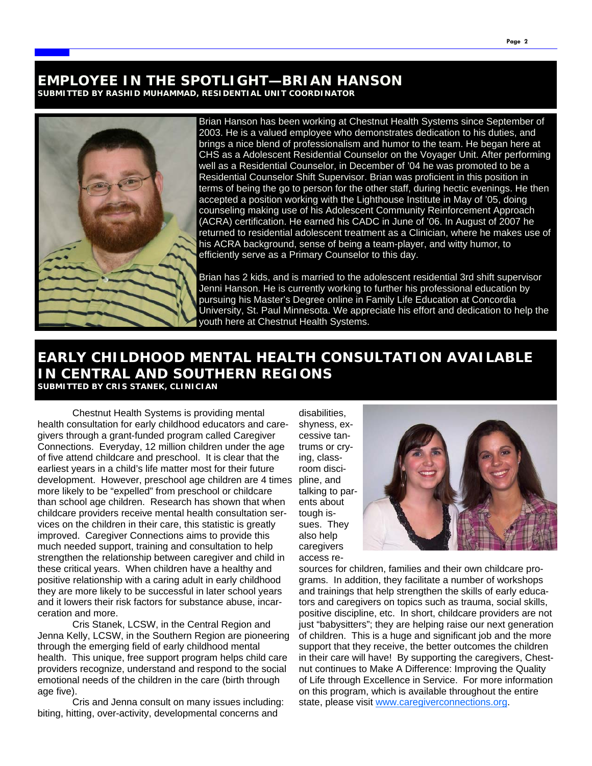#### **EMPLOYEE IN THE SPOTLIGHT—BRIAN HANSON SUBMITTED BY RASHID MUHAMMAD, RESIDENTIAL UNIT COORDINATOR**



Brian Hanson has been working at Chestnut Health Systems since September of 2003. He is a valued employee who demonstrates dedication to his duties, and brings a nice blend of professionalism and humor to the team. He began here at CHS as a Adolescent Residential Counselor on the Voyager Unit. After performing well as a Residential Counselor, in December of '04 he was promoted to be a Residential Counselor Shift Supervisor. Brian was proficient in this position in terms of being the go to person for the other staff, during hectic evenings. He then accepted a position working with the Lighthouse Institute in May of '05, doing counseling making use of his Adolescent Community Reinforcement Approach (ACRA) certification. He earned his CADC in June of '06. In August of 2007 he returned to residential adolescent treatment as a Clinician, where he makes use of his ACRA background, sense of being a team-player, and witty humor, to efficiently serve as a Primary Counselor to this day.

Brian has 2 kids, and is married to the adolescent residential 3rd shift supervisor Jenni Hanson. He is currently working to further his professional education by pursuing his Master's Degree online in Family Life Education at Concordia University, St. Paul Minnesota. We appreciate his effort and dedication to help the youth here at Chestnut Health Systems.

#### **EARLY CHILDHOOD MENTAL HEALTH CONSULTATION AVAILABLE IN CENTRAL AND SOUTHERN REGIONS SUBMITTED BY CRIS STANEK, CLINICIAN**

 Chestnut Health Systems is providing mental health consultation for early childhood educators and caregivers through a grant-funded program called Caregiver Connections. Everyday, 12 million children under the age of five attend childcare and preschool. It is clear that the earliest years in a child's life matter most for their future development. However, preschool age children are 4 times more likely to be "expelled" from preschool or childcare than school age children. Research has shown that when childcare providers receive mental health consultation services on the children in their care, this statistic is greatly improved. Caregiver Connections aims to provide this much needed support, training and consultation to help strengthen the relationship between caregiver and child in these critical years. When children have a healthy and positive relationship with a caring adult in early childhood they are more likely to be successful in later school years and it lowers their risk factors for substance abuse, incarceration and more.

 Cris Stanek, LCSW, in the Central Region and Jenna Kelly, LCSW, in the Southern Region are pioneering through the emerging field of early childhood mental health. This unique, free support program helps child care providers recognize, understand and respond to the social emotional needs of the children in the care (birth through age five).

 Cris and Jenna consult on many issues including: biting, hitting, over-activity, developmental concerns and

disabilities, shyness, excessive tantrums or crying, classroom discipline, and talking to parents about tough issues. They also help caregivers access re-



sources for children, families and their own childcare programs. In addition, they facilitate a number of workshops and trainings that help strengthen the skills of early educators and caregivers on topics such as trauma, social skills, positive discipline, etc. In short, childcare providers are not just "babysitters"; they are helping raise our next generation of children. This is a huge and significant job and the more support that they receive, the better outcomes the children in their care will have! By supporting the caregivers, Chestnut continues to Make A Difference: Improving the Quality of Life through Excellence in Service. For more information on this program, which is available throughout the entire state, please visit www.caregiverconnections.org.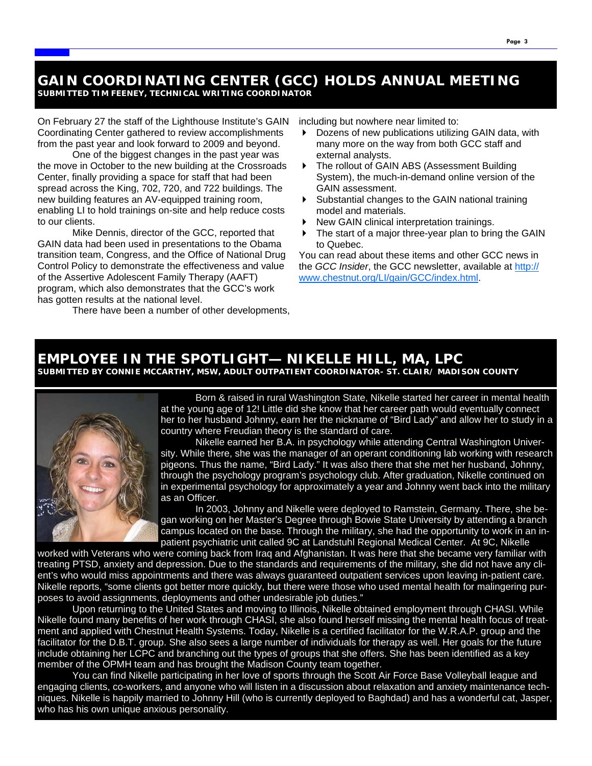#### **GAIN COORDINATING CENTER (GCC) HOLDS ANNUAL MEETING SUBMITTED TIM FEENEY, TECHNICAL WRITING COORDINATOR**

On February 27 the staff of the Lighthouse Institute's GAIN Coordinating Center gathered to review accomplishments from the past year and look forward to 2009 and beyond.

One of the biggest changes in the past year was the move in October to the new building at the Crossroads Center, finally providing a space for staff that had been spread across the King, 702, 720, and 722 buildings. The new building features an AV-equipped training room, enabling LI to hold trainings on-site and help reduce costs to our clients.

Mike Dennis, director of the GCC, reported that GAIN data had been used in presentations to the Obama transition team, Congress, and the Office of National Drug Control Policy to demonstrate the effectiveness and value of the Assertive Adolescent Family Therapy (AAFT) program, which also demonstrates that the GCC's work has gotten results at the national level.

There have been a number of other developments,

including but nowhere near limited to:

- Dozens of new publications utilizing GAIN data, with many more on the way from both GCC staff and external analysts.
- The rollout of GAIN ABS (Assessment Building System), the much-in-demand online version of the GAIN assessment.
- Substantial changes to the GAIN national training model and materials.
- New GAIN clinical interpretation trainings.
- The start of a major three-year plan to bring the GAIN to Quebec.

You can read about these items and other GCC news in the *GCC Insider*, the GCC newsletter, available at http:// www.chestnut.org/LI/gain/GCC/index.html.

### **EMPLOYEE IN THE SPOTLIGHT— NIKELLE HILL, MA, LPC**

**SUBMITTED BY CONNIE MCCARTHY, MSW, ADULT OUTPATIENT COORDINATOR- ST. CLAIR/ MADISON COUNTY** 



 Born & raised in rural Washington State, Nikelle started her career in mental health at the young age of 12! Little did she know that her career path would eventually connect her to her husband Johnny, earn her the nickname of "Bird Lady" and allow her to study in a country where Freudian theory is the standard of care.

 Nikelle earned her B.A. in psychology while attending Central Washington University. While there, she was the manager of an operant conditioning lab working with research pigeons. Thus the name, "Bird Lady." It was also there that she met her husband, Johnny, through the psychology program's psychology club. After graduation, Nikelle continued on in experimental psychology for approximately a year and Johnny went back into the military as an Officer.

 In 2003, Johnny and Nikelle were deployed to Ramstein, Germany. There, she began working on her Master's Degree through Bowie State University by attending a branch campus located on the base. Through the military, she had the opportunity to work in an inpatient psychiatric unit called 9C at Landstuhl Regional Medical Center. At 9C, Nikelle

worked with Veterans who were coming back from Iraq and Afghanistan. It was here that she became very familiar with treating PTSD, anxiety and depression. Due to the standards and requirements of the military, she did not have any client's who would miss appointments and there was always guaranteed outpatient services upon leaving in-patient care. Nikelle reports, "some clients got better more quickly, but there were those who used mental health for malingering purposes to avoid assignments, deployments and other undesirable job duties."

 Upon returning to the United States and moving to Illinois, Nikelle obtained employment through CHASI. While Nikelle found many benefits of her work through CHASI, she also found herself missing the mental health focus of treatment and applied with Chestnut Health Systems. Today, Nikelle is a certified facilitator for the W.R.A.P. group and the facilitator for the D.B.T. group. She also sees a large number of individuals for therapy as well. Her goals for the future include obtaining her LCPC and branching out the types of groups that she offers. She has been identified as a key member of the OPMH team and has brought the Madison County team together.

 You can find Nikelle participating in her love of sports through the Scott Air Force Base Volleyball league and engaging clients, co-workers, and anyone who will listen in a discussion about relaxation and anxiety maintenance techniques. Nikelle is happily married to Johnny Hill (who is currently deployed to Baghdad) and has a wonderful cat, Jasper, who has his own unique anxious personality.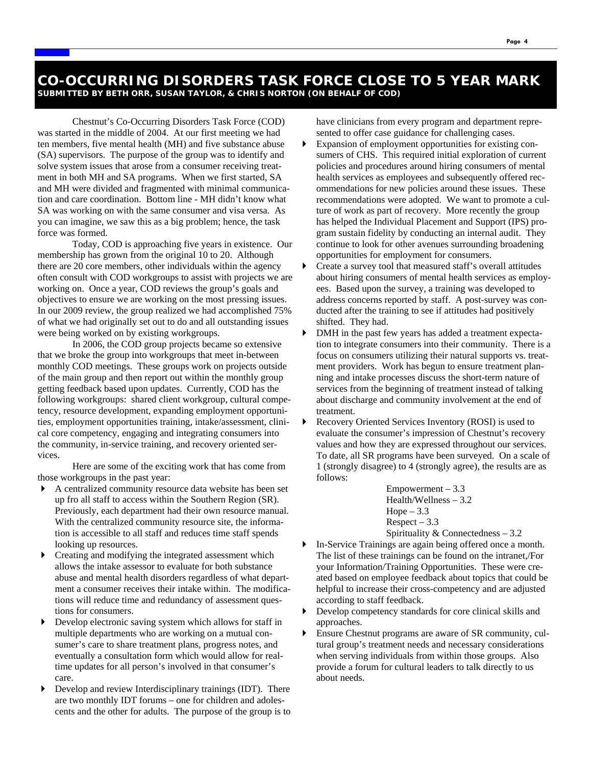Chestnut's Co-Occurring Disorders Task Force (COD) was started in the middle of 2004. At our first meeting we had ten members, five mental health (MH) and five substance abuse (SA) supervisors. The purpose of the group was to identify and solve system issues that arose from a consumer receiving treatment in both MH and SA programs. When we first started, SA and MH were divided and fragmented with minimal communication and care coordination. Bottom line - MH didn't know what SA was working on with the same consumer and visa versa. As you can imagine, we saw this as a big problem; hence, the task force was formed.

 Today, COD is approaching five years in existence. Our membership has grown from the original 10 to 20. Although there are 20 core members, other individuals within the agency often consult with COD workgroups to assist with projects we are working on. Once a year, COD reviews the group's goals and objectives to ensure we are working on the most pressing issues. In our 2009 review, the group realized we had accomplished 75% of what we had originally set out to do and all outstanding issues were being worked on by existing workgroups.

 In 2006, the COD group projects became so extensive that we broke the group into workgroups that meet in-between monthly COD meetings. These groups work on projects outside of the main group and then report out within the monthly group getting feedback based upon updates. Currently, COD has the following workgroups: shared client workgroup, cultural competency, resource development, expanding employment opportunities, employment opportunities training, intake/assessment, clinical core competency, engaging and integrating consumers into the community, in-service training, and recovery oriented services.

 Here are some of the exciting work that has come from those workgroups in the past year:

- A centralized community resource data website has been set up fro all staff to access within the Southern Region (SR). Previously, each department had their own resource manual. With the centralized community resource site, the information is accessible to all staff and reduces time staff spends looking up resources.
- Creating and modifying the integrated assessment which allows the intake assessor to evaluate for both substance abuse and mental health disorders regardless of what department a consumer receives their intake within. The modifications will reduce time and redundancy of assessment questions for consumers.
- Develop electronic saving system which allows for staff in multiple departments who are working on a mutual consumer's care to share treatment plans, progress notes, and eventually a consultation form which would allow for realtime updates for all person's involved in that consumer's care.
- Develop and review Interdisciplinary trainings (IDT). There are two monthly IDT forums – one for children and adolescents and the other for adults. The purpose of the group is to

have clinicians from every program and department represented to offer case guidance for challenging cases.

- Expansion of employment opportunities for existing consumers of CHS. This required initial exploration of current policies and procedures around hiring consumers of mental health services as employees and subsequently offered recommendations for new policies around these issues. These recommendations were adopted. We want to promote a culture of work as part of recovery. More recently the group has helped the Individual Placement and Support (IPS) program sustain fidelity by conducting an internal audit. They continue to look for other avenues surrounding broadening opportunities for employment for consumers.
- Create a survey tool that measured staff's overall attitudes about hiring consumers of mental health services as employees. Based upon the survey, a training was developed to address concerns reported by staff. A post-survey was conducted after the training to see if attitudes had positively shifted. They had.
- DMH in the past few years has added a treatment expectation to integrate consumers into their community. There is a focus on consumers utilizing their natural supports vs. treatment providers. Work has begun to ensure treatment planning and intake processes discuss the short-term nature of services from the beginning of treatment instead of talking about discharge and community involvement at the end of treatment.
- Recovery Oriented Services Inventory (ROSI) is used to evaluate the consumer's impression of Chestnut's recovery values and how they are expressed throughout our services. To date, all SR programs have been surveyed. On a scale of 1 (strongly disagree) to 4 (strongly agree), the results are as follows:

 $Empowerment - 3.3$ Health/Wellness – 3.2  $Hope - 3.3$  $Respect - 3.3$ Spirituality & Connectedness – 3.2

- In-Service Trainings are again being offered once a month. The list of these trainings can be found on the intranet,/For your Information/Training Opportunities. These were created based on employee feedback about topics that could be helpful to increase their cross-competency and are adjusted according to staff feedback.
- Develop competency standards for core clinical skills and approaches.
- Ensure Chestnut programs are aware of SR community, cultural group's treatment needs and necessary considerations when serving individuals from within those groups. Also provide a forum for cultural leaders to talk directly to us about needs.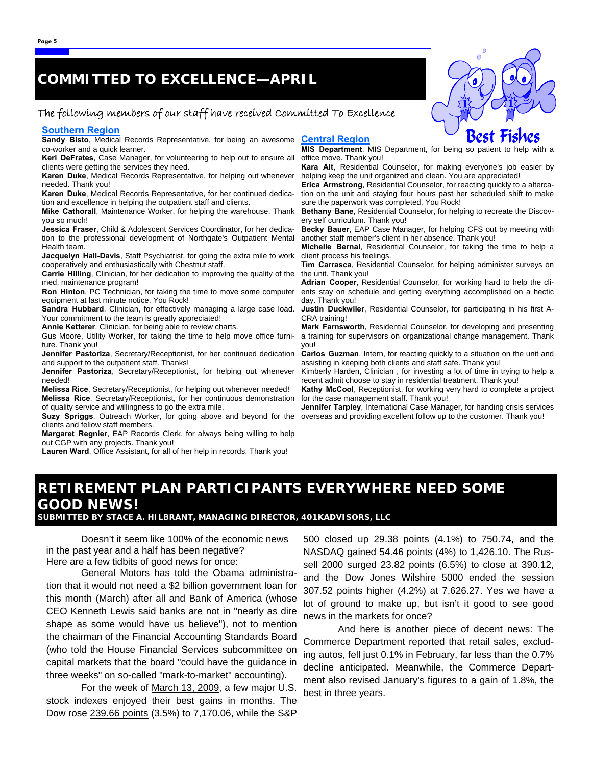## **COMMITTED TO EXCELLENCE—APRIL**

#### The following members of our staff have received Committed To Excellence

#### **Southern Region**

**Sandy Bisto**, Medical Records Representative, for being an awesome **Central Region** co-worker and a quick learner.

**Keri DeFrates**, Case Manager, for volunteering to help out to ensure all clients were getting the services they need.

**Karen Duke**, Medical Records Representative, for helping out whenever needed. Thank you!

**Karen Duke**, Medical Records Representative, for her continued dedication and excellence in helping the outpatient staff and clients.

**Mike Cathorall**, Maintenance Worker, for helping the warehouse. Thank you so much!

**Jessica Fraser**, Child & Adolescent Services Coordinator, for her dedication to the professional development of Northgate's Outpatient Mental Health team.

**Jacquelyn Hall-Davis**, Staff Psychiatrist, for going the extra mile to work cooperatively and enthusiastically with Chestnut staff.

**Carrie Hilling**, Clinician, for her dedication to improving the quality of the med. maintenance program!

**Ron Hinton**, PC Technician, for taking the time to move some computer equipment at last minute notice. You Rock!

**Sandra Hubbard**, Clinician, for effectively managing a large case load. Your commitment to the team is greatly appreciated!

**Annie Ketterer**, Clinician, for being able to review charts.

Gus Moore, Utility Worker, for taking the time to help move office furniture. Thank you!

**Jennifer Pastoriza**, Secretary/Receptionist, for her continued dedication and support to the outpatient staff. Thanks!

**Jennifer Pastoriza**, Secretary/Receptionist, for helping out whenever needed!

**Melissa Rice**, Secretary/Receptionist, for helping out whenever needed! **Melissa Rice**, Secretary/Receptionist, for her continuous demonstration of quality service and willingness to go the extra mile.

**Suzy Spriggs**, Outreach Worker, for going above and beyond for the clients and fellow staff members.

**Margaret Regnier**, EAP Records Clerk, for always being willing to help out CGP with any projects. Thank you!

**Lauren Ward**, Office Assistant, for all of her help in records. Thank you!

**MIS Department**, MIS Department, for being so patient to help with a office move. Thank you!

**Kara Alt,** Residential Counselor, for making everyone's job easier by helping keep the unit organized and clean. You are appreciated!

**Erica Armstrong**, Residential Counselor, for reacting quickly to a altercation on the unit and staying four hours past her scheduled shift to make sure the paperwork was completed. You Rock!

**Bethany Bane**, Residential Counselor, for helping to recreate the Discovery self curriculum. Thank you!

**Becky Bauer**, EAP Case Manager, for helping CFS out by meeting with another staff member's client in her absence. Thank you!

**Michelle Bernal**, Residential Counselor, for taking the time to help a client process his feelings.

**Tim Carrasca**, Residential Counselor, for helping administer surveys on the unit. Thank you!

**Adrian Cooper**, Residential Counselor, for working hard to help the clients stay on schedule and getting everything accomplished on a hectic day. Thank you!

**Justin Duckwiler**, Residential Counselor, for participating in his first A-CRA training!

**Mark Farnsworth**, Residential Counselor, for developing and presenting a training for supervisors on organizational change management. Thank you!

**Carlos Guzman**, Intern, for reacting quickly to a situation on the unit and assisting in keeping both clients and staff safe. Thank you!

Kimberly Harden, Clinician , for investing a lot of time in trying to help a recent admit choose to stay in residential treatment. Thank you!

**Kathy McCool**, Receptionist, for working very hard to complete a project for the case management staff. Thank you!

**Jennifer Tarpley**, International Case Manager, for handing crisis services overseas and providing excellent follow up to the customer. Thank you!

#### **RETIREMENT PLAN PARTICIPANTS EVERYWHERE NEED SOME GOOD NEWS!**

**SUBMITTED BY STACE A. HILBRANT, MANAGING DIRECTOR, 401KADVISORS, LLC** 

 Doesn't it seem like 100% of the economic news in the past year and a half has been negative? Here are a few tidbits of good news for once:

 General Motors has told the Obama administration that it would not need a \$2 billion government loan for this month (March) after all and Bank of America (whose CEO Kenneth Lewis said banks are not in "nearly as dire shape as some would have us believe"), not to mention the chairman of the Financial Accounting Standards Board (who told the House Financial Services subcommittee on capital markets that the board "could have the guidance in three weeks" on so-called "mark-to-market" accounting).

 For the week of March 13, 2009, a few major U.S. stock indexes enjoyed their best gains in months. The Dow rose 239.66 points (3.5%) to 7,170.06, while the S&P

500 closed up 29.38 points (4.1%) to 750.74, and the NASDAQ gained 54.46 points (4%) to 1,426.10. The Russell 2000 surged 23.82 points (6.5%) to close at 390.12, and the Dow Jones Wilshire 5000 ended the session 307.52 points higher (4.2%) at 7,626.27. Yes we have a lot of ground to make up, but isn't it good to see good news in the markets for once?

 And here is another piece of decent news: The Commerce Department reported that retail sales, excluding autos, fell just 0.1% in February, far less than the 0.7% decline anticipated. Meanwhile, the Commerce Department also revised January's figures to a gain of 1.8%, the best in three years..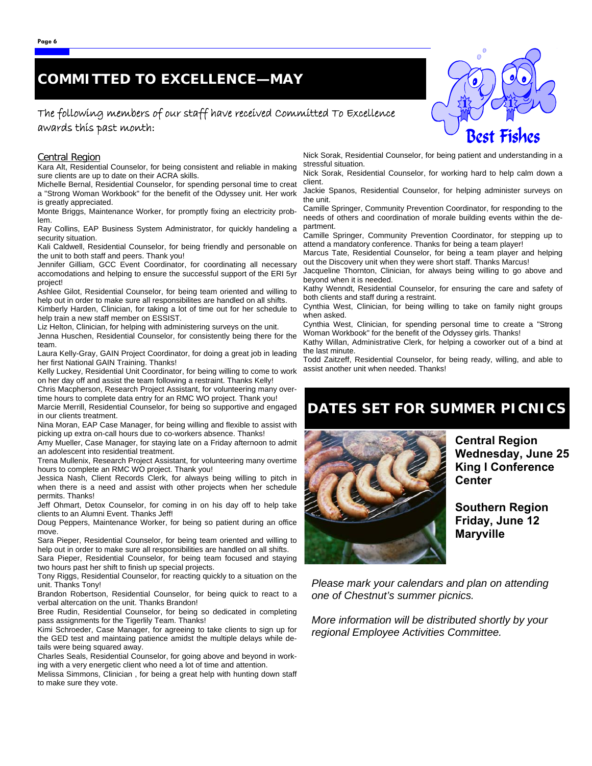## **COMMITTED TO EXCELLENCE—MAY**

#### The following members of our staff have received Committed To Excellence awards this past month:

#### Central Region

Kara Alt, Residential Counselor, for being consistent and reliable in making sure clients are up to date on their ACRA skills.

Michelle Bernal, Residential Counselor, for spending personal time to creat a "Strong Woman Workbook" for the benefit of the Odyssey unit. Her work is greatly appreciated.

Monte Briggs, Maintenance Worker, for promptly fixing an electricity problem.

Ray Collins, EAP Business System Administrator, for quickly handeling a security situation.

Kali Caldwell, Residential Counselor, for being friendly and personable on the unit to both staff and peers. Thank you!

Jennifer Gilliam, GCC Event Coordinator, for coordinating all necessary accomodations and helping to ensure the successful support of the ERI 5yr project!

Ashlee Gilot, Residential Counselor, for being team oriented and willing to help out in order to make sure all responsibilites are handled on all shifts.

Kimberly Harden, Clinician, for taking a lot of time out for her schedule to help train a new staff member on ESSIST. Liz Helton, Clinician, for helping with administering surveys on the unit.

Jenna Huschen, Residential Counselor, for consistently being there for the team.

Laura Kelly-Gray, GAIN Project Coordinator, for doing a great job in leading her first National GAIN Training. Thanks!

Kelly Luckey, Residential Unit Coordinator, for being willing to come to work on her day off and assist the team following a restraint. Thanks Kelly!

Chris Macpherson, Research Project Assistant, for volunteering many overtime hours to complete data entry for an RMC WO project. Thank you!

Marcie Merrill, Residential Counselor, for being so supportive and engaged in our clients treatment.

Nina Moran, EAP Case Manager, for being willing and flexible to assist with picking up extra on-call hours due to co-workers absence. Thanks!

Amy Mueller, Case Manager, for staying late on a Friday afternoon to admit an adolescent into residential treatment.

Trena Mullenix, Research Project Assistant, for volunteering many overtime hours to complete an RMC WO project. Thank you!

Jessica Nash, Client Records Clerk, for always being willing to pitch in when there is a need and assist with other projects when her schedule permits. Thanks!

Jeff Ohmart, Detox Counselor, for coming in on his day off to help take clients to an Alumni Event. Thanks Jeff!

Doug Peppers, Maintenance Worker, for being so patient during an office move.

Sara Pieper, Residential Counselor, for being team oriented and willing to help out in order to make sure all responsibilities are handled on all shifts.

Sara Pieper, Residential Counselor, for being team focused and staying two hours past her shift to finish up special projects.

Tony Riggs, Residential Counselor, for reacting quickly to a situation on the unit. Thanks Tony!

Brandon Robertson, Residential Counselor, for being quick to react to a verbal altercation on the unit. Thanks Brandon!

Bree Rudin, Residential Counselor, for being so dedicated in completing pass assignments for the Tigerlily Team. Thanks!

Kimi Schroeder, Case Manager, for agreeing to take clients to sign up for the GED test and maintaing patience amidst the multiple delays while details were being squared away.

Charles Seals, Residential Counselor, for going above and beyond in working with a very energetic client who need a lot of time and attention.

Melissa Simmons, Clinician , for being a great help with hunting down staff to make sure they vote.

Nick Sorak, Residential Counselor, for being patient and understanding in a stressful situation.

Nick Sorak, Residential Counselor, for working hard to help calm down a client.

Jackie Spanos, Residential Counselor, for helping administer surveys on the unit.

Camille Springer, Community Prevention Coordinator, for responding to the needs of others and coordination of morale building events within the department.

Camille Springer, Community Prevention Coordinator, for stepping up to attend a mandatory conference. Thanks for being a team player!

Marcus Tate, Residential Counselor, for being a team player and helping out the Discovery unit when they were short staff. Thanks Marcus!

Jacqueline Thornton, Clinician, for always being willing to go above and beyond when it is needed.

Kathy Wenndt, Residential Counselor, for ensuring the care and safety of both clients and staff during a restraint.

Cynthia West, Clinician, for being willing to take on family night groups when asked.

Cynthia West, Clinician, for spending personal time to create a "Strong Woman Workbook" for the benefit of the Odyssey girls. Thanks!

Kathy Willan, Administrative Clerk, for helping a coworker out of a bind at the last minute.

Todd Zaitzeff, Residential Counselor, for being ready, willing, and able to assist another unit when needed. Thanks!

#### **DATES SET FOR SUMMER PICNICS**



**Central Region Wednesday, June 25 King I Conference Center** 

**Southern Region Friday, June 12 Maryville** 

*Please mark your calendars and plan on attending one of Chestnut's summer picnics.* 

*More information will be distributed shortly by your regional Employee Activities Committee.*